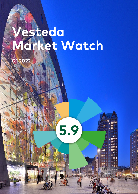# **Vesteda Market Watch**

**5.9**

**Q1 2022**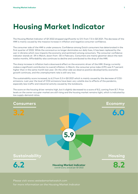## **Housing Market Indicator**

The Housing Market Indicator of Q1 2022 dropped significantly to 5.9, from 7.3 in Q3 2021. The decrease of the HMI is mainly caused by the massive increase in inflation and negative consumer confidence.

The consumer side of the HMI is under pressure. Confidence among Dutch consumers has deteriorated in the first quarter of 2022. While the coronavirus no longer dominates our daily lives, it has been replaced by the war in Ukraine which now impacts the economy and sentiment among consumers. The consumer confidence indicator stands at -39 in March, down from -30 in February. Consumers are mainly gloomier about the next twelve months. Affordability also continues to decline and contributed to the drop of the HMI.

The sharp increase in inflation had a downward effect on the economic driver of the HMI. Energy currently makes a significant contribution to overall inflation. In March, the consumer price index (CPI) was 9.7 percent higher than in the same month last year. On the other side we observe positive developments; economic growth continues, and the unemployment rate is still very low.

The sustainability score increased, to 6.2 from 5.3 in Q3 2021 which is mainly caused by the decrease of CO2 emissions. Last year the level of CO2-emissions have been very volatile due to effects of the pandemic, especially less traffic and industrial activity caused by the lockdowns.

The score on the housing driver remains high, but it slightly decreased to a score of 8.2, coming from 8.7. Price levels on the owner-occupier market are still rising and the housing market remains tight, which is indicated by low supply-demand ratios.



Please visit [www.vestedamarketwatch.com](https://www.vesteamarketwatch.com) for more information on the Housing Market Indicator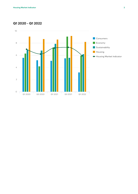**Q1 2020 - Q1 2022**

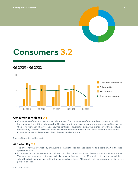

# **Consumers 3.2**

### **Q1 2020 - Q1 2022**



#### **Consumer confidence 0.3**

• Consumer confidence is nearly at an all-time low. The consumer confidence indicator stands at -39 in March, down from -30 in February. For the sixth month in a row consumers were more negative than in the previous month. The current consumer confidence level is far below the average over the past two decades (-8). The war in Ukraine obviously plays an important role in the Dutch consumer confidence. Consumers are mainly gloomier about the next twelve months.

Source: Statistics Netherlands

#### **Affordability 2.4**

- The driver for the affordability of housing in The Netherlands keeps declining to a score of 2.4 in the last quarter of 2021.
- Price levels on the owner-occupier and rental market are still rising and the enormous scarcity continues. The sharp increase in cost of energy will also have an impact on the affordability of housing, especially when the rise in salaries lags behind the increased cost levels. Affordability of housing remains high on the political agenda.

Source: Calcasa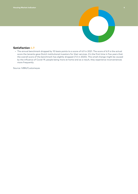

#### **Satisfaction 6.9**

• The annual benchmark dropped by 10 basis points to a score of 6.9 in 2021. The score of 6.9 is the actual score the tenants gave Dutch institutional investors for their services. It's the first time in five years that the overall score of the benchmark has slightly dropped (7.0 in 2020). This small change might be caused by the influence of Covid-19, people being more at home and as a result, they experience inconveniences more frequently.

Source: IVBN/Customeyes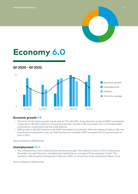

# **Economy 6.0**

### **Q1 2020 - Q1 2022**



#### **Economic growth 7.9**

- The driver for Economic growth stands well at 7.9 in Q4 2021. Gross domestic product (GDP) increased by 1.0 percent in Q4 2021 relative to the previous quarter. Growth in Q4 was largely due to increased public consumption, investments and the trade balance.
- GDP growth in Q4 2021 relative to Q4 2020 amounted to 6.5 percent. With the release of data on Q4, the provisional annual growth rate over 2021 has become available. GDP increased with 5.0 percent year on year in 2021.

Source: Statistics Netherlands

#### **Unemployment 10.0**

• The unemployment rate is historical low and therefore gets the maximum score of 10.0. In the period December through February, unemployment declined by an average of 8 thousand per month. This resulted in 336 thousand unemployed in February 2022, i.e. 3.4 percent of the total Dutch labour force.

Source: Statistics Netherlands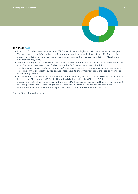

#### **Inflation 0.0**

- In March 2022 the consumer price index (CPI) was 9.7 percent higher than in the same month last year. The sharp increase in inflation had significant impact on the economic driver of the HMI. The massive increase in inflation is mainly caused by the price development of energy. The inflation in March is the highest since May 1976.
- Aside from energy, the price development of motor fuels and food had an upward effect on the inflation rate. The price increase of motor fuels amounted to 36.5 percent relative to March 2021.
- The Dutch government has taken (temporary) measures to curb the rise in energy costs for consumers. Tax rates on fuel and electricity has been reduced. Despite energy tax reduction, the year-on-year price rise of energy increased.
- \*In the Netherlands the CPI is the main standard for measuring inflation. The main conceptual difference between the CPI and the HICP for the Netherlands is that, unlike the CPI, the HICP does not take into account the costs of homeownership. In the Dutch CPI, these costs are calculated based on developments in rental property prices. According to the European HICP, consumer goods and services in the Netherlands were 11.9 percent more expensive in March than in the same month last year.

Source: Statistics Netherlands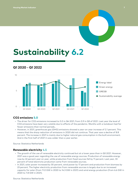

# **Sustainability 6.2**

### **Q1 2020 - Q1 2022**



#### **CO2 emissions 5.0**

- The driver for CO2 emissions increased to 5.0 in Q4 2021, from 0.9 in Q3 of 2021. Last year the level of CO2 emissions have been very volatile due to effects of the pandemic. Months with a lockdown had far fewer emissions than normal periods..
- However, in 2021, greenhouse gas (GHG) emissions showed a year-on-year increase of 2.1 percent. This means that the sharp reduction of emissions in 2020 did not continue. That year saw a decline of 8.8 percent. The increase in 2021 is mainly due to higher natural gas consumption in the built environment. And in the first half of 2021 it was colder than a year earlier.

Source: Statistics Netherlands

#### **Renewable electricity 4.5**

- The growth of the use of renewable electricity continued but at a lower pace than in Q3 2021. However, 2021 was a good year regarding the use of renewable energy sources. Production of renewable energy rose by 22 percent year on year, while production from fossil sources fell by 11 percent. Last year, 33 percent of total electricity production came from renewable sources.
- In 2021, solar power increased by 30 percent, wind power by 17 percent and production from biomass by 23 percent. The higher electricity production from renewable sources is largely due to an increased capacity for solar (from 11.0 GW in 2020 to 14.3 GW in 2021) and wind energy production (from 6.6 GW in 2020 to 7.8 GW in 2021).

Source: Statistics Netherlands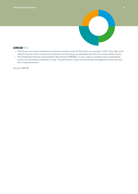

#### **GRESB 9.0**

- The Dutch non-listed residential companies scored a total of 90 points on average in 2021. This high score reflects the fact that institutional investors are devoting considerable attention to sustainability issues.
- The Global Real Estate Sustainability Benchmark (GRESB) is a tool used to compare the sustainability scores of real estate investment funds. The benchmark rates environmental management practices and their implementation.

Source: GRESB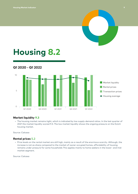

# **Housing 8.2**

### **Q1 2020 - Q1 2022**



#### **Market liquidity 9.3**

• The housing market remains tight, which is indicated by low supply-demand ratios. In the last quarter of 2021 the market liquidity scored 9.3. The low market liquidity shows the ongoing pressure on the Dutch housing market.

Source: Calcasa

#### **Rental prices 5.2**

• Price levels on the rental market are still high, mainly as a result of the enormous scarcity. Although, the increase is not as sharp compared to the market of owner occupied homes, affordability of housing remains under pressure for some households This applies mainly to home seekers in the lower- and midmarket segment.

Source: Calcasa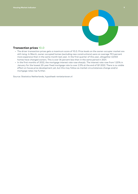

#### **Transaction prices 10.0**

- The driver transaction prices gets a maximum score of 10.0. Price levels on the owner-occupier market are still rising. In March, owner-occupied homes (excluding new constructions) were on average 19.5 percent more expensive than in the same month last year. In the first quarter of this year, altogether 43,923 homes have changed owners. This is over 34 percent less than in the same period in 2021.
- In the first months of 2022, the mortgage interest rate rose sharply. The interest rate rose from 1.20% in January for the lowest 20-year fixed mortgage rate to over 2.5% at the end of Q1 2022. There is no visible effect on house price development yet, but this may follow as market circumstances change and/or mortgage rates rise further.

Source: Statistics Netherlands, hypotheek-rentetarieven.nl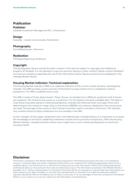### **Publication**

#### **Publisher**

Vesteda Investment Management B.V., Amsterdam

#### **Design**

Cascade – visuele communicatie, Amsterdam

#### **Photography**

Corné Bastiaansen, Hilversum

#### **Realisation**

F19 Digital Reporting, Eindhoven

#### **Copyright**

The photographs, figures and all the other content in this site are subject to copyright and intellectual property of Vesteda. It is not allowed to copy any pictures, figures or other content. Please contact Vesteda if you have any questions regarding the use of the information and/or figures and pictures as displayed in the Vesteda Market Watch.

#### **Housing Market Indicator: Technical explanation**

The Housing Market Indicator (HMI) is an objective indicator of the current market situation, developed by Vesteda. The HMI provides a quick overview of the Dutch housing market from a residential investors perspective. The HMI is updated twice a year.

The HMI is made of 12 key determinants. These 'drivers' are divided into 4 different quadrants with 3 drivers per quadrant. The 12 drivers are scores on a scale from 1 to 10, based on the best available data. The data on most drivers has been placed in historical perspective, whereas the historical lower and upper limits were determined as the maximum range. Only on the drivers GRESB and customer satisfaction the actual scores are used. The average of the scores on the 12 drivers was then used to calculate a final score. The indicator only contains historical data, predictions are not included in the HMI.

As the manager of the largest residential fund in the Netherlands, Vesteda believes it is important to increase the knowledge on the Dutch residential investment market and to promote transparency. With the Housing Market Indicator, Vesteda therefore offers more insight into current market developments on the Dutch housing market.

#### **Disclaimer**

Information contained in this Market Watch has been prepared for informational purposes only and is not intended to convey or constitute legal, tax and/or investment advice and is not a substitute for obtaining appropriate advice from a qualified advisor. You should not act or refrain from acting upon any such information without first seeking appropriate professional advice on the particular facts and circumstances at issue. The information presented in this Market Watch is provided "as is" without representation or warranty of any kind. We do not represent or warrant that such information is or will be always up-to-date, complete, or accurate. Any representation or warranty that might be otherwise implied is expressly disclaimed. We are not liable to you or others, in any way or for any damages of any kind, arising from this Market Watch, or your access to or use of or reliance on the information contained herein.